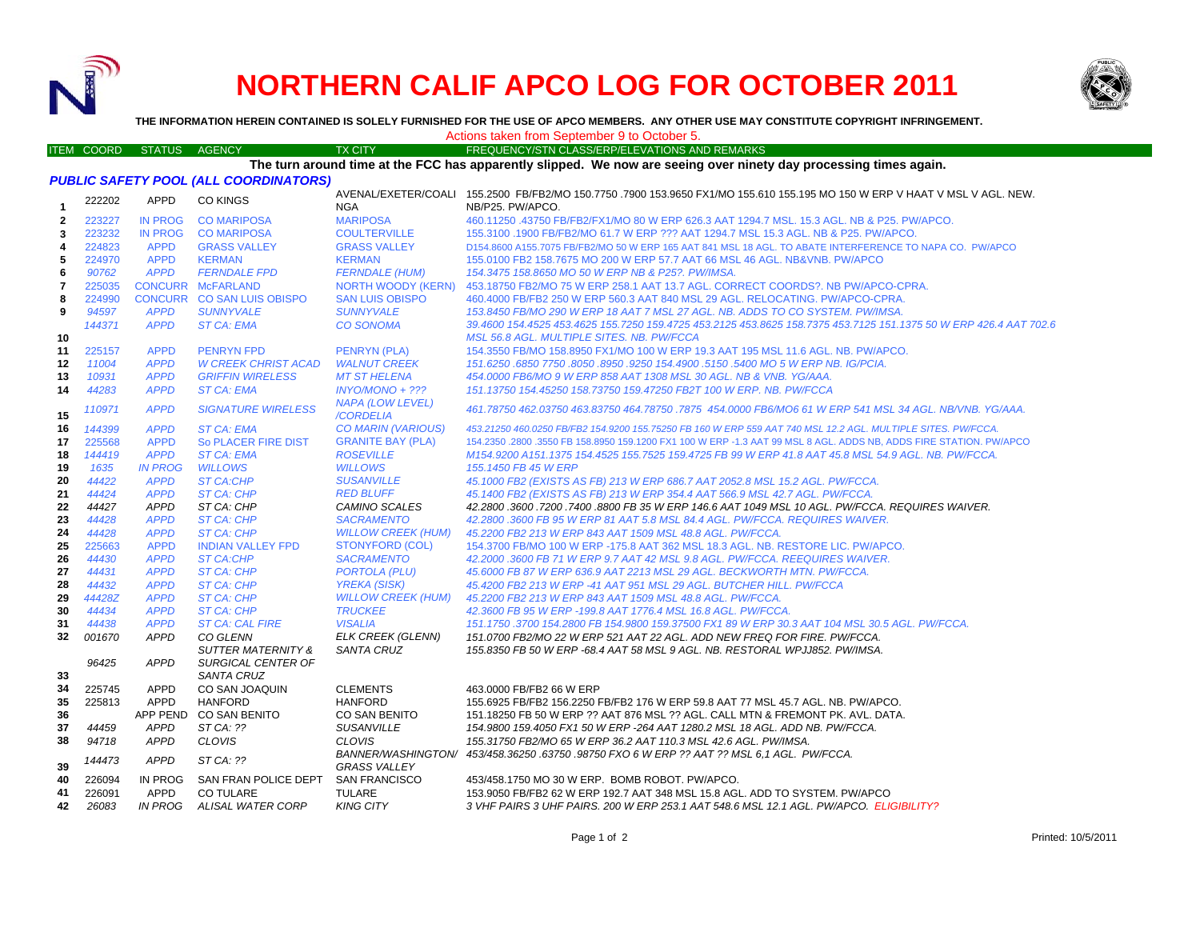

## **NORTHERN CALIF APCO LOG FOR OCTOBER 2011**



**THE INFORMATION HEREIN CONTAINED IS SOLELY FURNISHED FOR THE USE OF APCO MEMBERS. ANY OTHER USE MAY CONSTITUTE COPYRIGHT INFRINGEMENT.**

## Actions taken from September 9 to October 5.

## ITEM COORD STATUS AGENCY TX CITY FREQUENCY/STN CLASS/ERP/ELEVATIONS AND REMARKS

**The turn around time at the FCC has apparently slipped. We now are seeing over ninety day processing times again.**

|  | PUBLIC SAFETY POOL (ALL COORDINATORS) |
|--|---------------------------------------|
|--|---------------------------------------|

| 1            | 222202 | <b>APPD</b>    | <b>CO KINGS</b>               | <b>NGA</b>                                | AVENAL/EXETER/COALI 155.2500 FB/FB2/MO 150.7750 .7900 153.9650 FX1/MO 155.610 155.195 MO 150 W ERP V HAAT V MSL V AGL. NEW.<br>NB/P25. PW/APCO.                                        |
|--------------|--------|----------------|-------------------------------|-------------------------------------------|----------------------------------------------------------------------------------------------------------------------------------------------------------------------------------------|
| $\mathbf{2}$ | 223227 | <b>IN PROG</b> | <b>CO MARIPOSA</b>            | <b>MARIPOSA</b>                           | 460.11250 .43750 FB/FB2/FX1/MO 80 W ERP 626.3 AAT 1294.7 MSL, 15.3 AGL, NB & P25, PW/APCO,                                                                                             |
| 3            | 223232 | <b>IN PROG</b> | <b>CO MARIPOSA</b>            | <b>COULTERVILLE</b>                       | 155.3100 .1900 FB/FB2/MO 61.7 W ERP ??? AAT 1294.7 MSL 15.3 AGL. NB & P25. PW/APCO.                                                                                                    |
|              | 224823 | <b>APPD</b>    | <b>GRASS VALLEY</b>           | <b>GRASS VALLEY</b>                       |                                                                                                                                                                                        |
| 4<br>5       | 224970 | <b>APPD</b>    | <b>KERMAN</b>                 | <b>KERMAN</b>                             | D154,8600 A155,7075 FB/FB2/MO 50 W ERP 165 AAT 841 MSL 18 AGL. TO ABATE INTERFERENCE TO NAPA CO. PW/APCO<br>155,0100 FB2 158,7675 MO 200 W ERP 57,7 AAT 66 MSL 46 AGL, NB&VNB, PW/APCO |
|              |        |                |                               |                                           |                                                                                                                                                                                        |
| 6            | 90762  | <b>APPD</b>    | <b>FERNDALE FPD</b>           | <b>FERNDALE (HUM)</b>                     | 154.3475 158.8650 MO 50 W ERP NB & P25?. PW/IMSA.                                                                                                                                      |
| 7            | 225035 |                | <b>CONCURR McFARLAND</b>      | <b>NORTH WOODY (KERN)</b>                 | 453.18750 FB2/MO 75 W ERP 258.1 AAT 13.7 AGL. CORRECT COORDS?. NB PW/APCO-CPRA.                                                                                                        |
| 8            | 224990 |                | CONCURR CO SAN LUIS OBISPO    | <b>SAN LUIS OBISPO</b>                    | 460,4000 FB/FB2 250 W ERP 560.3 AAT 840 MSL 29 AGL. RELOCATING, PW/APCO-CPRA.                                                                                                          |
| 9            | 94597  | <b>APPD</b>    | <b>SUNNYVALE</b>              | <b>SUNNYVALE</b>                          | 153.8450 FB/MO 290 W ERP 18 AAT 7 MSL 27 AGL. NB. ADDS TO CO SYSTEM. PW/IMSA.                                                                                                          |
|              | 144371 | <b>APPD</b>    | <b>ST CA: EMA</b>             | <b>CO SONOMA</b>                          | 39,4600 154,4525 453,4625 155,7250 159,4725 453,2125 453,8625 158,7375 453,7125 151,1375 50 W ERP 426,4 AAT 702.6                                                                      |
| 10           |        |                |                               |                                           | MSL 56.8 AGL. MULTIPLE SITES. NB. PW/FCCA                                                                                                                                              |
| 11           | 225157 | <b>APPD</b>    | <b>PENRYN FPD</b>             | <b>PENRYN (PLA)</b>                       | 154.3550 FB/MO 158.8950 FX1/MO 100 W ERP 19.3 AAT 195 MSL 11.6 AGL. NB. PW/APCO.                                                                                                       |
| 12           | 11004  | <b>APPD</b>    | <b>W CREEK CHRIST ACAD</b>    | <b>WALNUT CREEK</b>                       | 151.6250 .6850 7750 .8050 .8950 .9250 154.4900 .5150 .5400 MO 5 W ERP NB. IG/PCIA.                                                                                                     |
| 13           | 10931  | <b>APPD</b>    | <b>GRIFFIN WIRELESS</b>       | <b>MT ST HELENA</b>                       | 454.0000 FB6/MO 9 W ERP 858 AAT 1308 MSL 30 AGL, NB & VNB, YG/AAA,                                                                                                                     |
| 14           | 44283  | <b>APPD</b>    | <b>ST CA: EMA</b>             | $INYO/MONO + ???$                         | 151.13750 154.45250 158.73750 159.47250 FB2T 100 W ERP. NB. PW/FCCA                                                                                                                    |
| 15           | 110971 | <b>APPD</b>    | <b>SIGNATURE WIRELESS</b>     | <b>NAPA (LOW LEVEL)</b><br>/CORDELIA      | 461.78750 462.03750 463.83750 464.78750 .7875 454.0000 FB6/MO6 61 W ERP 541 MSL 34 AGL. NB/VNB. YG/AAA.                                                                                |
| 16           | 144399 | <b>APPD</b>    | <b>ST CA: EMA</b>             | CO MARIN (VARIOUS)                        | 453.21250 460.0250 FB/FB2 154.9200 155.75250 FB 160 W ERP 559 AAT 740 MSL 12.2 AGL. MULTIPLE SITES. PW/FCCA.                                                                           |
| 17           | 225568 | <b>APPD</b>    | So PLACER FIRE DIST           | <b>GRANITE BAY (PLA)</b>                  | 154.2350 .2800 .3550 FB 158.8950 159.1200 FX1 100 W ERP -1.3 AAT 99 MSL 8 AGL. ADDS NB, ADDS FIRE STATION. PW/APCO                                                                     |
| 18           | 144419 | <b>APPD</b>    | <b>ST CA: EMA</b>             | <b>ROSEVILLE</b>                          | M154.9200 A151.1375 154.4525 155.7525 159.4725 FB 99 W ERP 41.8 AAT 45.8 MSL 54.9 AGL. NB. PW/FCCA.                                                                                    |
| 19           | 1635   | <b>IN PROG</b> | <b>WILLOWS</b>                | <b>WILLOWS</b>                            | 155, 1450 FB 45 W ERP                                                                                                                                                                  |
| 20           | 44422  | <b>APPD</b>    | <b>ST CA:CHP</b>              | <b>SUSANVILLE</b>                         | 45.1000 FB2 (EXISTS AS FB) 213 W ERP 686.7 AAT 2052.8 MSL 15.2 AGL. PW/FCCA.                                                                                                           |
| 21           | 44424  | <b>APPD</b>    | <b>ST CA: CHP</b>             | <b>RED BLUFF</b>                          | 45.1400 FB2 (EXISTS AS FB) 213 W ERP 354.4 AAT 566.9 MSL 42.7 AGL. PW/FCCA.                                                                                                            |
| 22           | 44427  | <b>APPD</b>    | ST CA: CHP                    | CAMINO SCALES                             | 42.2800 .3600 .7200 .7400 .8800 FB 35 W ERP 146.6 AAT 1049 MSL 10 AGL. PW/FCCA. REQUIRES WAIVER.                                                                                       |
| 23           | 44428  | <b>APPD</b>    | ST CA: CHP                    | <b>SACRAMENTO</b>                         | 42.2800.3600 FB 95 W ERP 81 AAT 5.8 MSL 84.4 AGL, PW/FCCA, REQUIRES WAIVER.                                                                                                            |
| 24           | 44428  | <b>APPD</b>    | ST CA: CHP                    | <b>WILLOW CREEK (HUM)</b>                 | 45.2200 FB2 213 W ERP 843 AAT 1509 MSL 48.8 AGL. PW/FCCA.                                                                                                                              |
| 25           | 225663 | <b>APPD</b>    | <b>INDIAN VALLEY FPD</b>      | <b>STONYFORD (COL)</b>                    | 154.3700 FB/MO 100 W ERP -175.8 AAT 362 MSL 18.3 AGL, NB, RESTORE LIC, PW/APCO,                                                                                                        |
| 26           | 44430  | <b>APPD</b>    | <b>ST CA:CHP</b>              | <b>SACRAMENTO</b>                         | 42.2000.3600 FB 71 W ERP 9.7 AAT 42 MSL 9.8 AGL. PW/FCCA. REEQUIRES WAIVER.                                                                                                            |
| 27           | 44431  | <b>APPD</b>    | ST CA: CHP                    | <b>PORTOLA (PLU)</b>                      | 45,6000 FB 87 W ERP 636.9 AAT 2213 MSL 29 AGL, BECKWORTH MTN, PW/FCCA.                                                                                                                 |
| 28           | 44432  | <b>APPD</b>    | ST CA: CHP                    | <b>YREKA (SISK)</b>                       | 45.4200 FB2 213 W ERP -41 AAT 951 MSL 29 AGL. BUTCHER HILL. PW/FCCA                                                                                                                    |
| 29           | 44428Z | <b>APPD</b>    | <b>ST CA: CHP</b>             | <b>WILLOW CREEK (HUM)</b>                 | 45.2200 FB2 213 W ERP 843 AAT 1509 MSL 48.8 AGL, PW/FCCA.                                                                                                                              |
| 30           | 44434  | <b>APPD</b>    | <b>ST CA: CHP</b>             | <b>TRUCKEE</b>                            | 42.3600 FB 95 W ERP -199.8 AAT 1776.4 MSL 16.8 AGL, PW/FCCA.                                                                                                                           |
| 31           | 44438  | <b>APPD</b>    | <b>ST CA: CAL FIRE</b>        | <b>VISALIA</b>                            | 151.1750 .3700 154.2800 FB 154.9800 159.37500 FX1 89 W ERP 30.3 AAT 104 MSL 30.5 AGL. PW/FCCA.                                                                                         |
| 32           | 001670 | APPD           | <b>CO GLENN</b>               | <b>ELK CREEK (GLENN)</b>                  | 151.0700 FB2/MO 22 W ERP 521 AAT 22 AGL. ADD NEW FREQ FOR FIRE. PW/FCCA.                                                                                                               |
|              |        |                | <b>SUTTER MATERNITY &amp;</b> | <b>SANTA CRUZ</b>                         | 155.8350 FB 50 W ERP -68.4 AAT 58 MSL 9 AGL. NB. RESTORAL WPJJ852. PW/IMSA.                                                                                                            |
|              | 96425  | <b>APPD</b>    | <b>SURGICAL CENTER OF</b>     |                                           |                                                                                                                                                                                        |
| 33           |        |                | <b>SANTA CRUZ</b>             |                                           |                                                                                                                                                                                        |
| 34           | 225745 | <b>APPD</b>    | CO SAN JOAQUIN                | <b>CLEMENTS</b>                           | 463,0000 FB/FB2 66 W ERP                                                                                                                                                               |
| 35           | 225813 | <b>APPD</b>    | <b>HANFORD</b>                | <b>HANFORD</b>                            | 155.6925 FB/FB2 156.2250 FB/FB2 176 W ERP 59.8 AAT 77 MSL 45.7 AGL. NB. PW/APCO.                                                                                                       |
| 36           |        | APP PEND       | CO SAN BENITO                 | <b>CO SAN BENITO</b>                      | 151.18250 FB 50 W ERP ?? AAT 876 MSL ?? AGL. CALL MTN & FREMONT PK, AVL, DATA,                                                                                                         |
| 37           | 44459  | <b>APPD</b>    | ST CA: ??                     | <b>SUSANVILLE</b>                         | 154,9800 159,4050 FX1 50 W ERP -264 AAT 1280.2 MSL 18 AGL. ADD NB. PW/FCCA.                                                                                                            |
| 38           | 94718  | <b>APPD</b>    | <b>CLOVIS</b>                 | <b>CLOVIS</b>                             | 155.31750 FB2/MO 65 W ERP 36.2 AAT 110.3 MSL 42.6 AGL, PW/IMSA.                                                                                                                        |
| 39           | 144473 | <b>APPD</b>    | ST CA: ??                     | BANNER/WASHINGTON/<br><b>GRASS VALLEY</b> | 453/458.36250.63750.98750 FXO 6 W ERP ?? AAT ?? MSL 6.1 AGL. PW/FCCA.                                                                                                                  |
| 40           | 226094 | <b>IN PROG</b> | SAN FRAN POLICE DEPT          | <b>SAN FRANCISCO</b>                      | 453/458.1750 MO 30 W ERP. BOMB ROBOT, PW/APCO.                                                                                                                                         |
| 41           | 226091 | APPD           | <b>CO TULARE</b>              | <b>TULARE</b>                             | 153,9050 FB/FB2 62 W ERP 192.7 AAT 348 MSL 15.8 AGL, ADD TO SYSTEM, PW/APCO                                                                                                            |
| 42           | 26083  | <b>IN PROG</b> | ALISAL WATER CORP             | <b>KING CITY</b>                          | 3 VHF PAIRS 3 UHF PAIRS. 200 W ERP 253.1 AAT 548.6 MSL 12.1 AGL. PW/APCO. ELIGIBILITY?                                                                                                 |